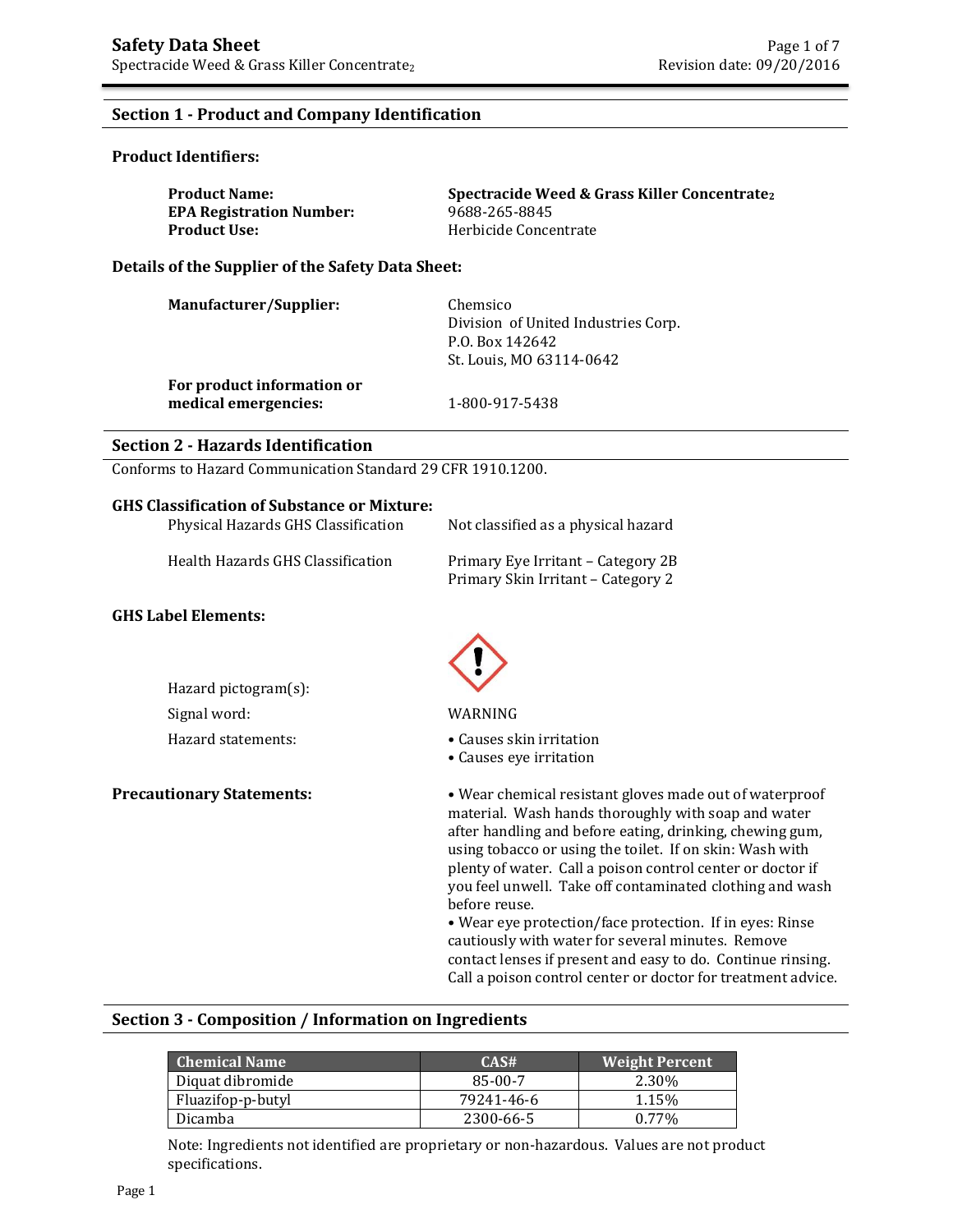## **Section 1 - Product and Company Identification**

### **Product Identifiers:**

| <b>Product Name:</b>            | Spectracide Weed & Grass Killer Concentrate <sub>2</sub> |
|---------------------------------|----------------------------------------------------------|
| <b>EPA Registration Number:</b> | 9688-265-8845                                            |
| <b>Product Use:</b>             | Herbicide Concentrate                                    |

**Details of the Supplier of the Safety Data Sheet:**

| <b>Manufacturer/Supplier:</b>                      | Chemsico<br>Division of United Industries Corp.<br>P.O. Box 142642<br>St. Louis, MO 63114-0642 |
|----------------------------------------------------|------------------------------------------------------------------------------------------------|
| For product information or<br>medical emergencies: | 1-800-917-5438                                                                                 |

### **Section 2 - Hazards Identification**

Conforms to Hazard Communication Standard 29 CFR 1910.1200.

### **GHS Classification of Substance or Mixture:**

| Physical Hazards GHS Classification | Not classified as a physical hazard                                      |
|-------------------------------------|--------------------------------------------------------------------------|
| Health Hazards GHS Classification   | Primary Eye Irritant – Category 2B<br>Primary Skin Irritant - Category 2 |
| <b>S Label Elements:</b>            |                                                                          |

#### GHS

| Hazard pictogram(s): |                     |
|----------------------|---------------------|
| Signal word:         | WARNIN <sub>0</sub> |
| Hazard statements:   | $\bullet$ Causes s  |



WARNING

- Causes skin irritation
- Causes eye irritation

**Precautionary Statements:** • Wear chemical resistant gloves made out of waterproof material. Wash hands thoroughly with soap and water after handling and before eating, drinking, chewing gum, using tobacco or using the toilet. If on skin: Wash with plenty of water. Call a poison control center or doctor if you feel unwell. Take off contaminated clothing and wash before reuse.

• Wear eye protection/face protection. If in eyes: Rinse cautiously with water for several minutes. Remove contact lenses if present and easy to do. Continue rinsing. Call a poison control center or doctor for treatment advice.

### **Section 3 - Composition / Information on Ingredients**

| <b>Chemical Name</b> | CAS#       | <b>Weight Percent</b> |
|----------------------|------------|-----------------------|
| Diquat dibromide     | 85-00-7    | 2.30%                 |
| Fluazifop-p-butyl    | 79241-46-6 | 1.15%                 |
| Dicamba              | 2300-66-5  | $0.77\%$              |

Note: Ingredients not identified are proprietary or non-hazardous. Values are not product specifications.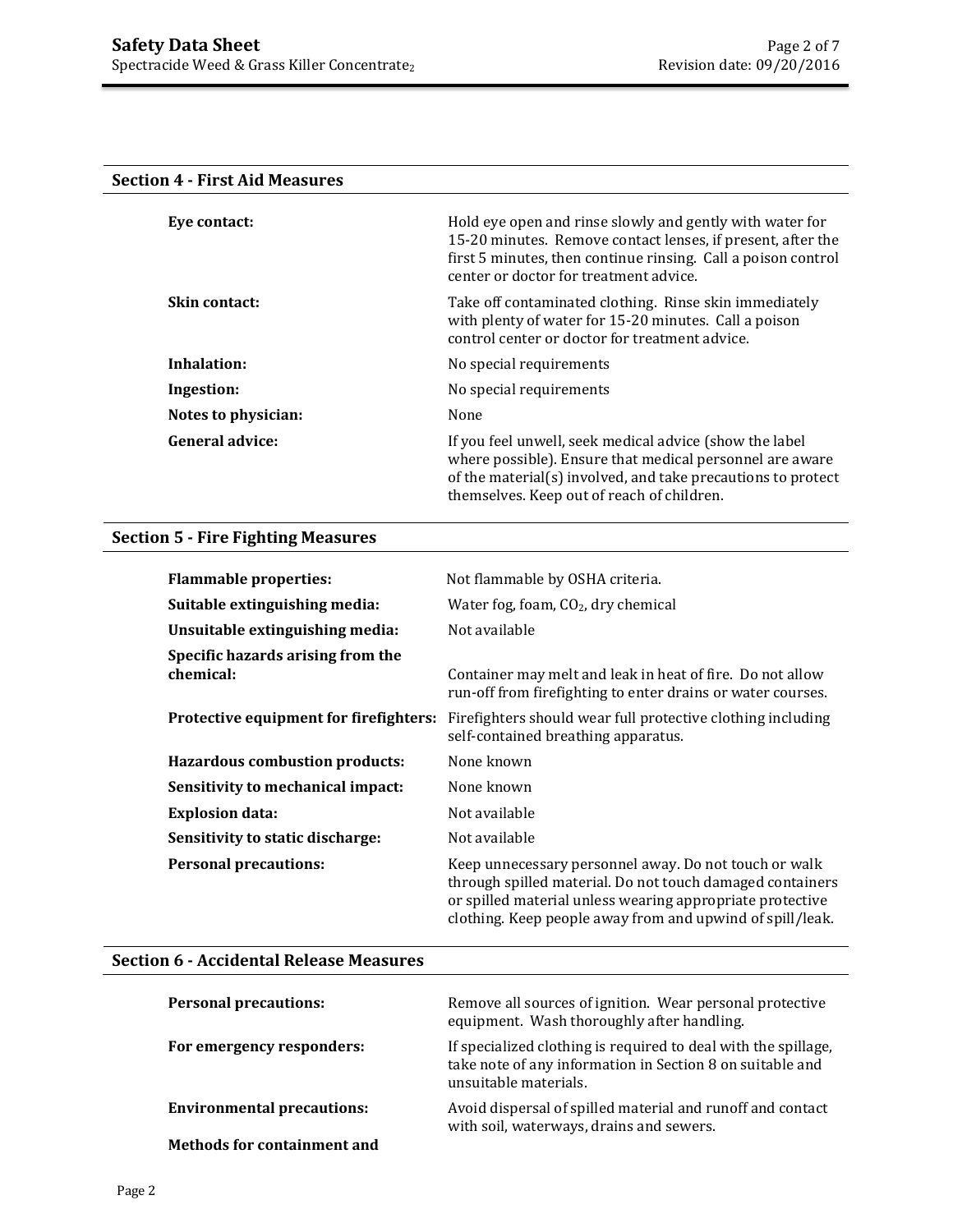## **Section 4 - First Aid Measures**

| Eye contact:           | Hold eye open and rinse slowly and gently with water for<br>15-20 minutes. Remove contact lenses, if present, after the<br>first 5 minutes, then continue rinsing. Call a poison control<br>center or doctor for treatment advice. |
|------------------------|------------------------------------------------------------------------------------------------------------------------------------------------------------------------------------------------------------------------------------|
| <b>Skin contact:</b>   | Take off contaminated clothing. Rinse skin immediately<br>with plenty of water for 15-20 minutes. Call a poison<br>control center or doctor for treatment advice.                                                                  |
| Inhalation:            | No special requirements                                                                                                                                                                                                            |
| Ingestion:             | No special requirements                                                                                                                                                                                                            |
| Notes to physician:    | None                                                                                                                                                                                                                               |
| <b>General advice:</b> | If you feel unwell, seek medical advice (show the label<br>where possible). Ensure that medical personnel are aware<br>of the material(s) involved, and take precautions to protect<br>themselves. Keep out of reach of children.  |

## **Section 5 - Fire Fighting Measures**

| <b>Flammable properties:</b>                   | Not flammable by OSHA criteria.                                                                                                                                                                                                              |
|------------------------------------------------|----------------------------------------------------------------------------------------------------------------------------------------------------------------------------------------------------------------------------------------------|
| Suitable extinguishing media:                  | Water fog, foam, $CO2$ , dry chemical                                                                                                                                                                                                        |
| Unsuitable extinguishing media:                | Not available                                                                                                                                                                                                                                |
| Specific hazards arising from the<br>chemical: | Container may melt and leak in heat of fire. Do not allow<br>run-off from firefighting to enter drains or water courses.                                                                                                                     |
| Protective equipment for firefighters:         | Firefighters should wear full protective clothing including<br>self-contained breathing apparatus.                                                                                                                                           |
| <b>Hazardous combustion products:</b>          | None known                                                                                                                                                                                                                                   |
| Sensitivity to mechanical impact:              | None known                                                                                                                                                                                                                                   |
| <b>Explosion data:</b>                         | Not available                                                                                                                                                                                                                                |
| Sensitivity to static discharge:               | Not available                                                                                                                                                                                                                                |
| <b>Personal precautions:</b>                   | Keep unnecessary personnel away. Do not touch or walk<br>through spilled material. Do not touch damaged containers<br>or spilled material unless wearing appropriate protective<br>clothing. Keep people away from and upwind of spill/leak. |

# **Section 6 - Accidental Release Measures**

| <b>Personal precautions:</b>       | Remove all sources of ignition. Wear personal protective<br>equipment. Wash thoroughly after handling.                                               |
|------------------------------------|------------------------------------------------------------------------------------------------------------------------------------------------------|
| For emergency responders:          | If specialized clothing is required to deal with the spillage,<br>take note of any information in Section 8 on suitable and<br>unsuitable materials. |
| <b>Environmental precautions:</b>  | Avoid dispersal of spilled material and runoff and contact<br>with soil, waterways, drains and sewers.                                               |
| <b>Methods for containment and</b> |                                                                                                                                                      |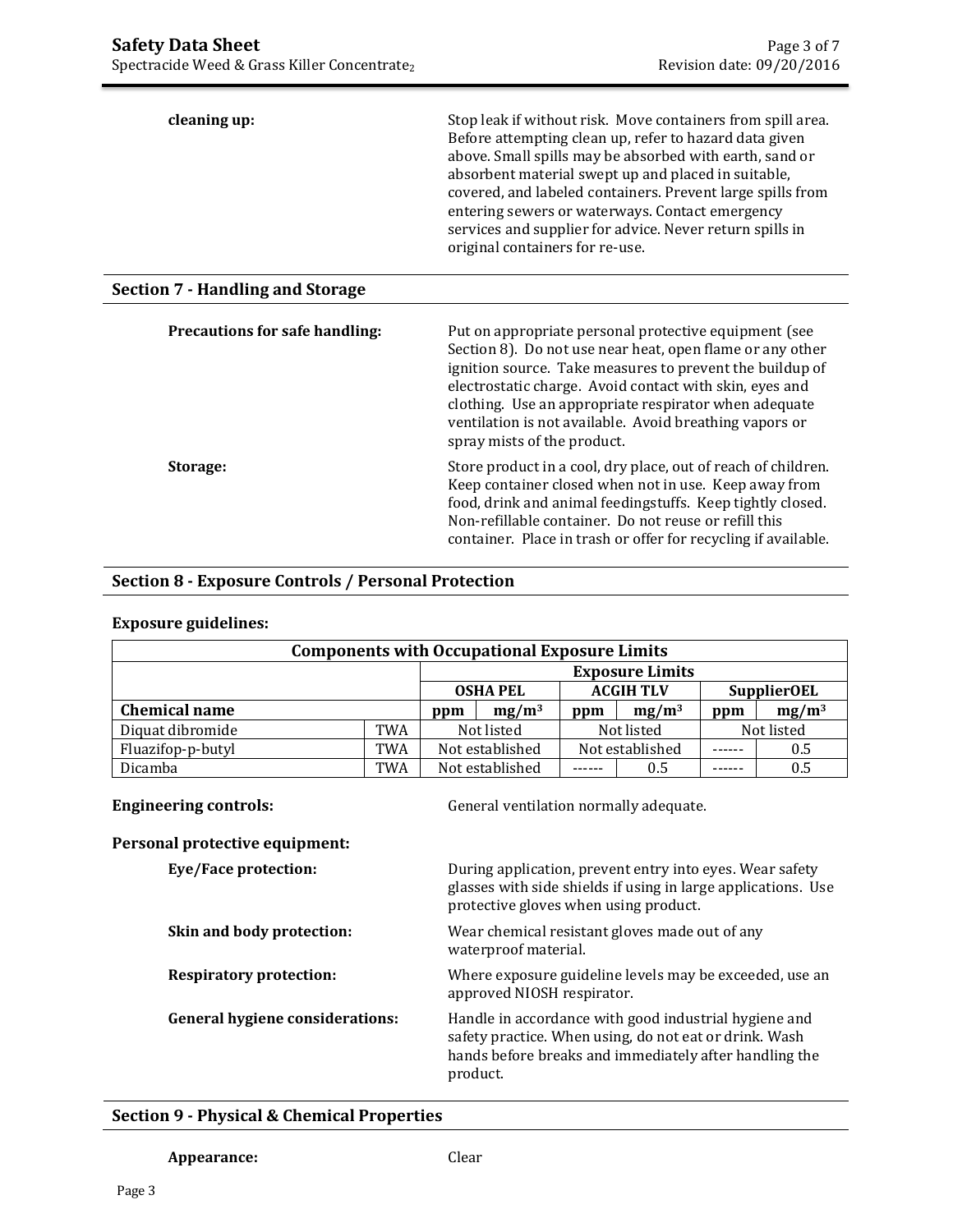| cleaning up:                            | Stop leak if without risk. Move containers from spill area.<br>Before attempting clean up, refer to hazard data given<br>above. Small spills may be absorbed with earth, sand or<br>absorbent material swept up and placed in suitable,<br>covered, and labeled containers. Prevent large spills from<br>entering sewers or waterways. Contact emergency<br>services and supplier for advice. Never return spills in<br>original containers for re-use. |
|-----------------------------------------|---------------------------------------------------------------------------------------------------------------------------------------------------------------------------------------------------------------------------------------------------------------------------------------------------------------------------------------------------------------------------------------------------------------------------------------------------------|
| <b>Section 7 - Handling and Storage</b> |                                                                                                                                                                                                                                                                                                                                                                                                                                                         |
| <b>Precautions for safe handling:</b>   | Put on appropriate personal protective equipment (see<br>Section 8). Do not use near heat, open flame or any other<br>ignition source. Take measures to prevent the buildup of<br>electrostatic charge. Avoid contact with skin, eyes and<br>clothing. Use an appropriate respirator when adequate<br>ventilation is not available. Avoid breathing vapors or<br>spray mists of the product.                                                            |
| Storage:                                | Store product in a cool, dry place, out of reach of children.<br>Keep container closed when not in use. Keep away from<br>food, drink and animal feedingstuffs. Keep tightly closed.<br>Non-refillable container. Do not reuse or refill this<br>container. Place in trash or offer for recycling if available.                                                                                                                                         |

## **Section 8 - Exposure Controls / Personal Protection**

| <b>Components with Occupational Exposure Limits</b> |            |                 |                 |     |                        |        |                    |
|-----------------------------------------------------|------------|-----------------|-----------------|-----|------------------------|--------|--------------------|
|                                                     |            |                 |                 |     | <b>Exposure Limits</b> |        |                    |
|                                                     |            |                 | <b>OSHA PEL</b> |     | <b>ACGIH TLV</b>       |        | <b>SupplierOEL</b> |
| <b>Chemical name</b>                                |            | ppm             | $mg/m^3$        | ppm | $mg/m^3$               | ppm    | $mg/m^3$           |
| Diquat dibromide                                    | <b>TWA</b> |                 | Not listed      |     | Not listed             |        | Not listed         |
| Fluazifop-p-butyl                                   | TWA        |                 | Not established |     | Not established        | ------ | 0.5                |
| Dicamba                                             | TWA        | Not established |                 | .   | 0.5                    |        | 0.5                |

# **Exposure guidelines:**

 $\overline{a}$ 

**Engineering controls:** General ventilation normally adequate.

| Personal protective equipment: |  |
|--------------------------------|--|
|                                |  |

| Eye/Face protection:                   | During application, prevent entry into eyes. Wear safety<br>glasses with side shields if using in large applications. Use<br>protective gloves when using product.                    |
|----------------------------------------|---------------------------------------------------------------------------------------------------------------------------------------------------------------------------------------|
| Skin and body protection:              | Wear chemical resistant gloves made out of any<br>waterproof material.                                                                                                                |
| <b>Respiratory protection:</b>         | Where exposure guideline levels may be exceeded, use an<br>approved NIOSH respirator.                                                                                                 |
| <b>General hygiene considerations:</b> | Handle in accordance with good industrial hygiene and<br>safety practice. When using, do not eat or drink. Wash<br>hands before breaks and immediately after handling the<br>product. |

# **Section 9 - Physical & Chemical Properties**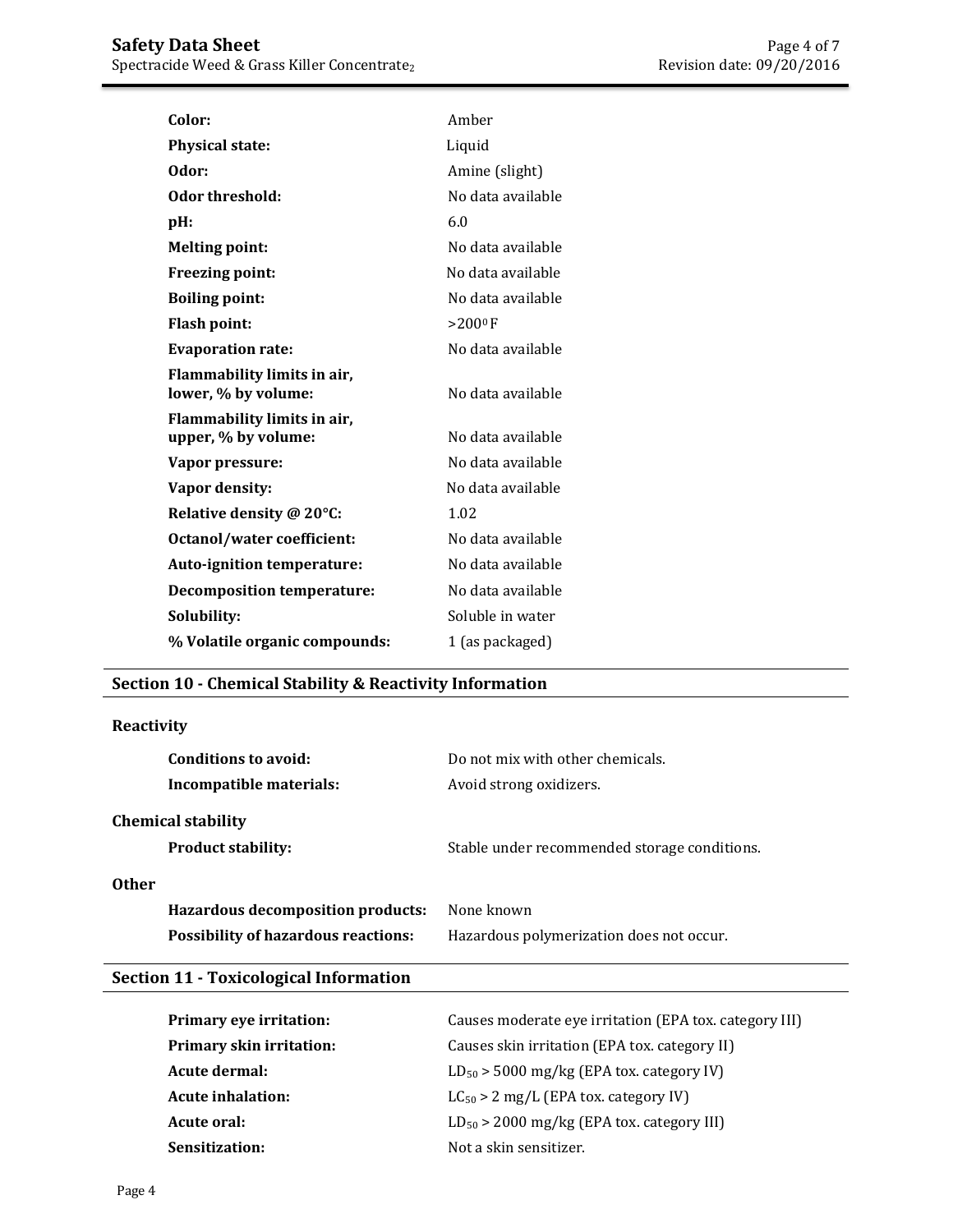| Color:                                             | Amber             |
|----------------------------------------------------|-------------------|
| <b>Physical state:</b>                             | Liquid            |
| Odor:                                              | Amine (slight)    |
| Odor threshold:                                    | No data available |
| pH:                                                | 6.0               |
| <b>Melting point:</b>                              | No data available |
| <b>Freezing point:</b>                             | No data available |
| <b>Boiling point:</b>                              | No data available |
| <b>Flash point:</b>                                | $>200^{\circ}$ F  |
| <b>Evaporation rate:</b>                           | No data available |
| Flammability limits in air,<br>lower, % by volume: | No data available |
| Flammability limits in air,<br>upper, % by volume: | No data available |
| Vapor pressure:                                    | No data available |
| Vapor density:                                     | No data available |
| Relative density @ 20°C:                           | 1.02              |
| Octanol/water coefficient:                         | No data available |
| <b>Auto-ignition temperature:</b>                  | No data available |
| <b>Decomposition temperature:</b>                  | No data available |
| Solubility:                                        | Soluble in water  |
| % Volatile organic compounds:                      | 1 (as packaged)   |

# **Section 10 - Chemical Stability & Reactivity Information**

## **Reactivity**

| Conditions to avoid:<br>Incompatible materials:        | Do not mix with other chemicals.<br>Avoid strong oxidizers. |  |
|--------------------------------------------------------|-------------------------------------------------------------|--|
| <b>Chemical stability</b><br><b>Product stability:</b> | Stable under recommended storage conditions.                |  |
| Other<br>Hazardous decomposition products:             | None known                                                  |  |
| <b>Possibility of hazardous reactions:</b>             | Hazardous polymerization does not occur.                    |  |

# **Section 11 - Toxicological Information**

| <b>Primary eye irritation:</b>  | Causes moderate eye irritation (EPA tox. category III) |
|---------------------------------|--------------------------------------------------------|
| <b>Primary skin irritation:</b> | Causes skin irritation (EPA tox. category II)          |
| Acute dermal:                   | $LD_{50}$ > 5000 mg/kg (EPA tox. category IV)          |
| Acute inhalation:               | $LC_{50} > 2$ mg/L (EPA tox. category IV)              |
| Acute oral:                     | $LD_{50}$ > 2000 mg/kg (EPA tox. category III)         |
| Sensitization:                  | Not a skin sensitizer.                                 |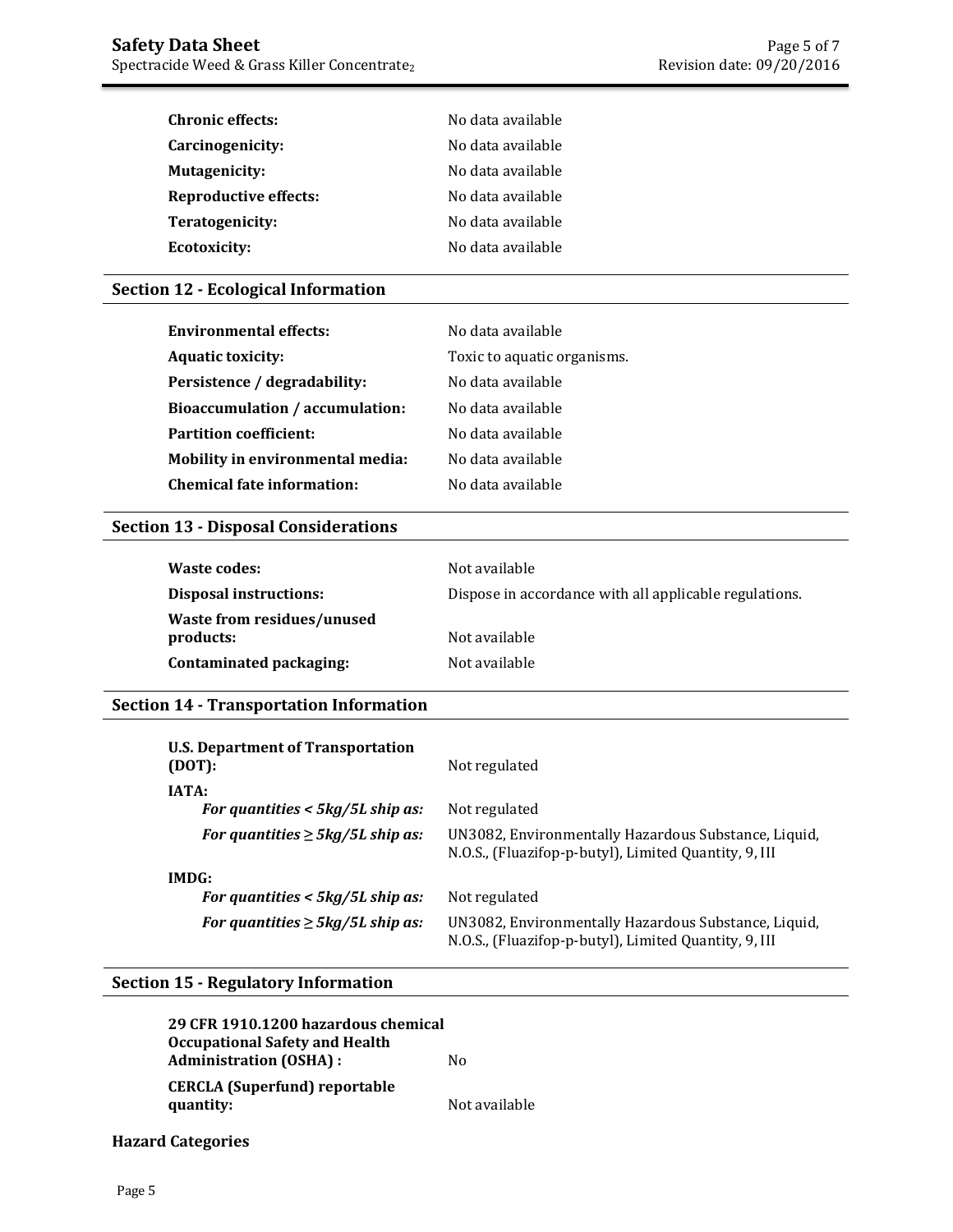| <b>Chronic effects:</b>      | No data available |
|------------------------------|-------------------|
| Carcinogenicity:             | No data available |
| <b>Mutagenicity:</b>         | No data available |
| <b>Reproductive effects:</b> | No data available |
| Teratogenicity:              | No data available |
| <b>Ecotoxicity:</b>          | No data available |

## **Section 12 - Ecological Information**

| <b>Environmental effects:</b>           | No data available           |
|-----------------------------------------|-----------------------------|
| <b>Aquatic toxicity:</b>                | Toxic to aquatic organisms. |
| Persistence / degradability:            | No data available           |
| <b>Bioaccumulation / accumulation:</b>  | No data available           |
| <b>Partition coefficient:</b>           | No data available           |
| <b>Mobility in environmental media:</b> | No data available           |
| <b>Chemical fate information:</b>       | No data available           |

## **Section 13 - Disposal Considerations**

| Waste codes:                            | Not available                                          |
|-----------------------------------------|--------------------------------------------------------|
| <b>Disposal instructions:</b>           | Dispose in accordance with all applicable regulations. |
| Waste from residues/unused<br>products: | Not available                                          |
| Contaminated packaging:                 | Not available                                          |

# **Section 14 - Transportation Information**

| U.S. Department of Transportation<br>(DOT): | Not regulated                                                                                                 |
|---------------------------------------------|---------------------------------------------------------------------------------------------------------------|
| IATA:                                       |                                                                                                               |
| For quantities $<$ 5kg/5L ship as:          | Not regulated                                                                                                 |
| For quantities $\geq 5$ kg/5L ship as:      | UN3082, Environmentally Hazardous Substance, Liquid,<br>N.O.S., (Fluazifop-p-butyl), Limited Quantity, 9, III |
| IMDG:                                       |                                                                                                               |
| For quantities $<$ 5kg/5L ship as:          | Not regulated                                                                                                 |
| For quantities $\geq 5$ kg/5L ship as:      | UN3082, Environmentally Hazardous Substance, Liquid,<br>N.O.S., (Fluazifop-p-butyl), Limited Quantity, 9, III |

## **Section 15 - Regulatory Information**

| 29 CFR 1910.1200 hazardous chemical   |               |
|---------------------------------------|---------------|
| <b>Occupational Safety and Health</b> |               |
| <b>Administration (OSHA):</b>         | Nο            |
| CERCLA (Superfund) reportable         |               |
| quantity:                             | Not available |

## **Hazard Categories**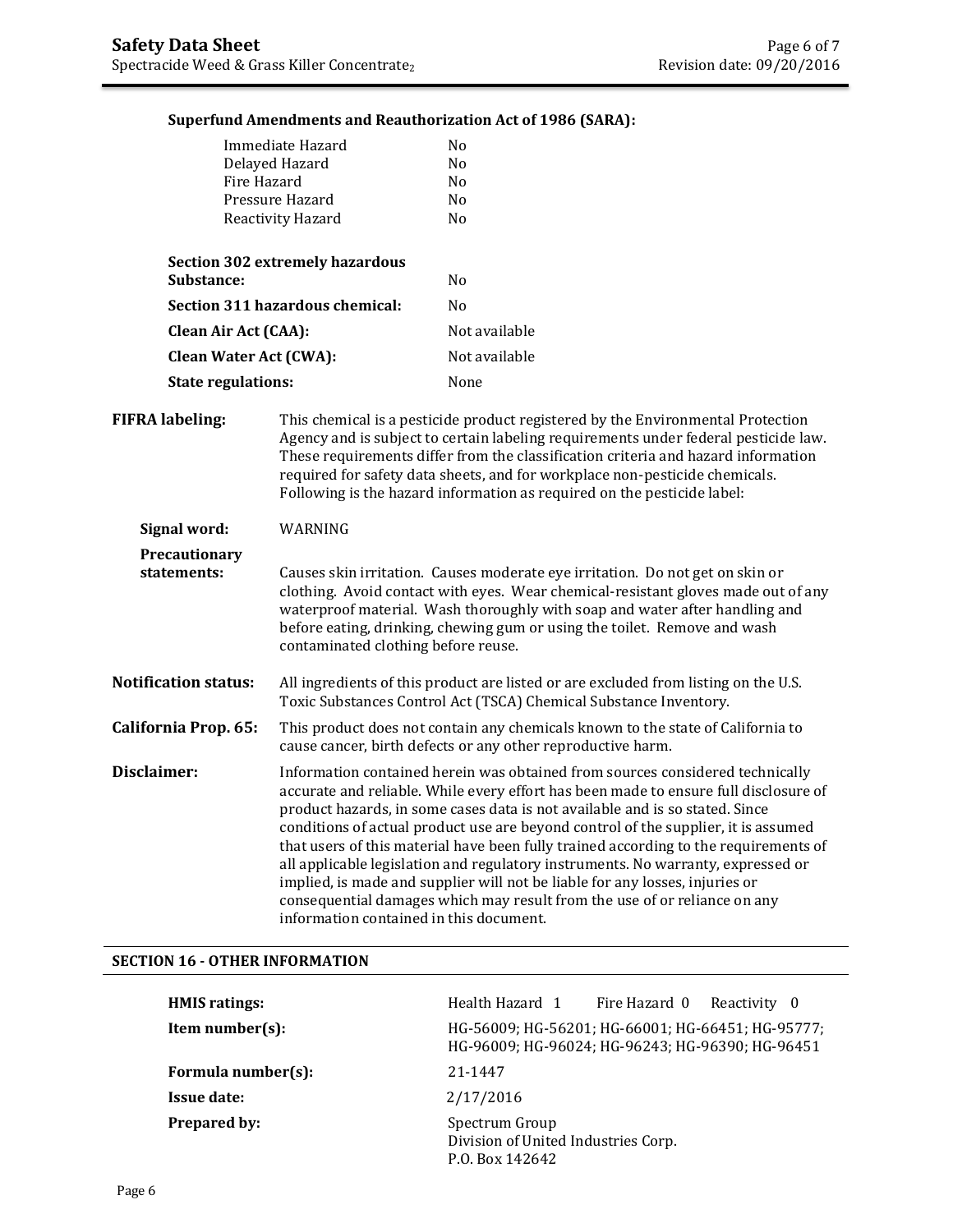## **Superfund Amendments and Reauthorization Act of 1986 (SARA):**

| Immediate Hazard                       | N <sub>0</sub> |
|----------------------------------------|----------------|
| Delayed Hazard                         | N <sub>0</sub> |
| Fire Hazard                            | N <sub>0</sub> |
| Pressure Hazard                        | No             |
| Reactivity Hazard                      | No             |
| <b>Section 302 extremely hazardous</b> |                |
| Substance:                             | N <sub>0</sub> |
| Section 311 hazardous chemical:        | No             |
| <b>Clean Air Act (CAA):</b>            | Not available  |
| <b>Clean Water Act (CWA):</b>          | Not available  |
| <b>State regulations:</b>              | None           |

**FIFRA labeling:** This chemical is a pesticide product registered by the Environmental Protection Agency and is subject to certain labeling requirements under federal pesticide law. These requirements differ from the classification criteria and hazard information required for safety data sheets, and for workplace non-pesticide chemicals. Following is the hazard information as required on the pesticide label:

| Signal word:                        | WARNING                                                                                                                                                                                                                                                                                                                                                                                                                                                                                                                                                                                                                                                                                                                         |
|-------------------------------------|---------------------------------------------------------------------------------------------------------------------------------------------------------------------------------------------------------------------------------------------------------------------------------------------------------------------------------------------------------------------------------------------------------------------------------------------------------------------------------------------------------------------------------------------------------------------------------------------------------------------------------------------------------------------------------------------------------------------------------|
| <b>Precautionary</b><br>statements: | Causes skin irritation. Causes moderate eye irritation. Do not get on skin or<br>clothing. Avoid contact with eyes. Wear chemical-resistant gloves made out of any<br>waterproof material. Wash thoroughly with soap and water after handling and<br>before eating, drinking, chewing gum or using the toilet. Remove and wash<br>contaminated clothing before reuse.                                                                                                                                                                                                                                                                                                                                                           |
| <b>Notification status:</b>         | All ingredients of this product are listed or are excluded from listing on the U.S.<br>Toxic Substances Control Act (TSCA) Chemical Substance Inventory.                                                                                                                                                                                                                                                                                                                                                                                                                                                                                                                                                                        |
| California Prop. 65:                | This product does not contain any chemicals known to the state of California to<br>cause cancer, birth defects or any other reproductive harm.                                                                                                                                                                                                                                                                                                                                                                                                                                                                                                                                                                                  |
| Disclaimer:                         | Information contained herein was obtained from sources considered technically<br>accurate and reliable. While every effort has been made to ensure full disclosure of<br>product hazards, in some cases data is not available and is so stated. Since<br>conditions of actual product use are beyond control of the supplier, it is assumed<br>that users of this material have been fully trained according to the requirements of<br>all applicable legislation and regulatory instruments. No warranty, expressed or<br>implied, is made and supplier will not be liable for any losses, injuries or<br>consequential damages which may result from the use of or reliance on any<br>information contained in this document. |

#### **SECTION 16 - OTHER INFORMATION**

| <b>HMIS</b> ratings: | Health Hazard 1                                                                                       | Fire Hazard 0 Reactivity 0 |  |
|----------------------|-------------------------------------------------------------------------------------------------------|----------------------------|--|
| Item number $(s)$ :  | HG-56009; HG-56201; HG-66001; HG-66451; HG-95777;<br>HG-96009; HG-96024; HG-96243; HG-96390; HG-96451 |                            |  |
| Formula number(s):   | 21-1447                                                                                               |                            |  |
| <b>Issue date:</b>   | 2/17/2016                                                                                             |                            |  |
| <b>Prepared by:</b>  | Spectrum Group<br>Division of United Industries Corp.<br>P.O. Box 142642                              |                            |  |